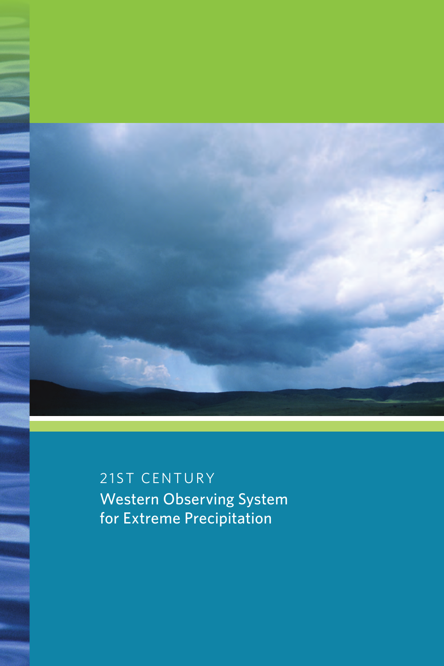

21ST CENTURY Western Observing System for Extreme Precipitation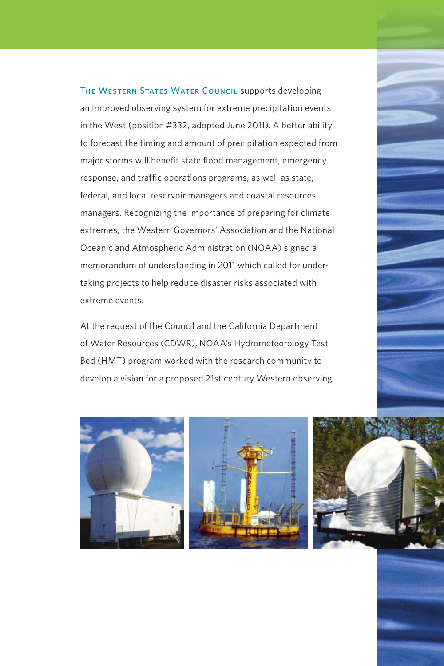THE WESTERN STATES WATER COUNCIL supports developing an improved observing system for extreme precipitation events in the West (position #332, adopted June 2011). A better ability to forecast the timing and amount of precipitation expected from major storms will benefit state flood management, emergency response, and traffic operations programs, as well as state, federal, and local reservoir managers and coastal resources managers. Recognizing the importance of preparing for climate extremes, the Western Governors' Association and the National Oceanic and Atmospheric Administration (NOAA) signed a memorandum of understanding in 2011 which called for undertaking projects to help reduce disaster risks associated with extreme events.

At the request of the Council and the California Department of Water Resources (CDWR), NOAA's Hydrometeorology Test Bed (HMT) program worked with the research community to develop a vision for a proposed 21st century Western observing







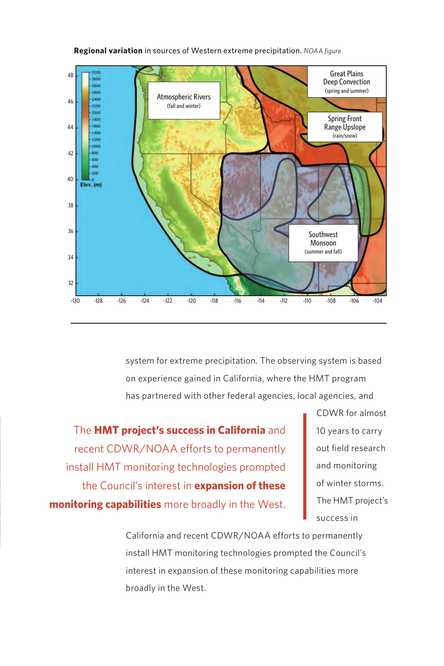

**Regional variation** in sources of Western extreme precipitation. *NOAA figure*

system for extreme precipitation. The observing system is based on experience gained in California, where the HMT program has partnered with other federal agencies, local agencies, and

The **HMT project's success in California** and recent CDWR/NOAA efforts to permanently install HMT monitoring technologies prompted the Council's interest in **expansion of these monitoring capabilities** more broadly in the West.

CDWR for almost 10 years to carry out field research and monitoring of winter storms. The HMT project's success in

California and recent CDWR/NOAA efforts to permanently install HMT monitoring technologies prompted the Council's interest in expansion of these monitoring capabilities more broadly in the West.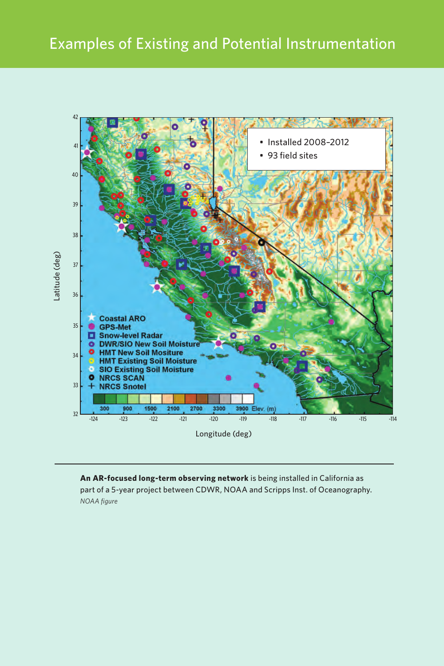

**An AR-focused long-term observing network** is being installed in California as part of a 5-year project between CDWR, NOAA and Scripps Inst. of Oceanography. *NOAA figure*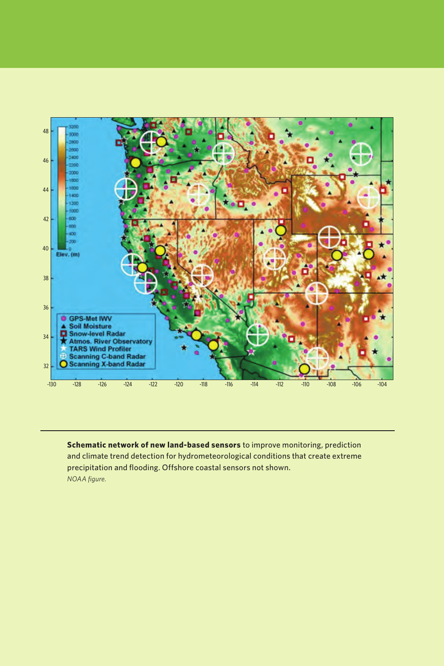

**Schematic network of new land-based sensors** to improve monitoring, prediction and climate trend detection for hydrometeorological conditions that create extreme precipitation and flooding. Offshore coastal sensors not shown. *NOAA figure.*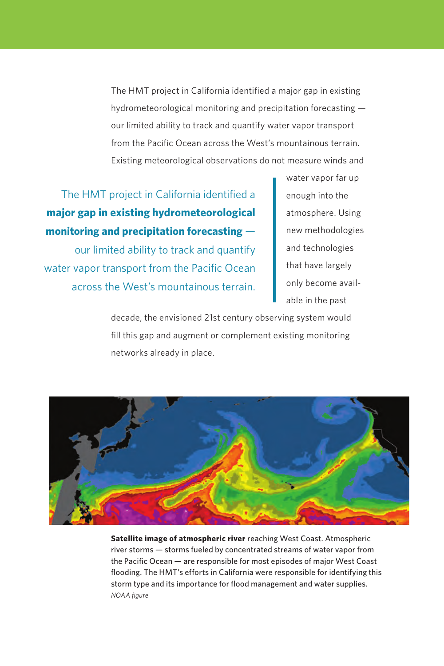The HMT project in California identified a major gap in existing hydrometeorological monitoring and precipitation forecasting our limited ability to track and quantify water vapor transport from the Pacific Ocean across the West's mountainous terrain. Existing meteorological observations do not measure winds and

The HMT project in California identified a **major gap in existing hydrometeorological monitoring and precipitation forecasting** our limited ability to track and quantify water vapor transport from the Pacific Ocean across the West's mountainous terrain. water vapor far up enough into the atmosphere. Using new methodologies and technologies that have largely only become available in the past

decade, the envisioned 21st century observing system would fill this gap and augment or complement existing monitoring networks already in place.



**Satellite image of atmospheric river** reaching West Coast. Atmospheric river storms — storms fueled by concentrated streams of water vapor from the Pacific Ocean — are responsible for most episodes of major West Coast flooding. The HMT's efforts in California were responsible for identifying this storm type and its importance for flood management and water supplies. *NOAA figure*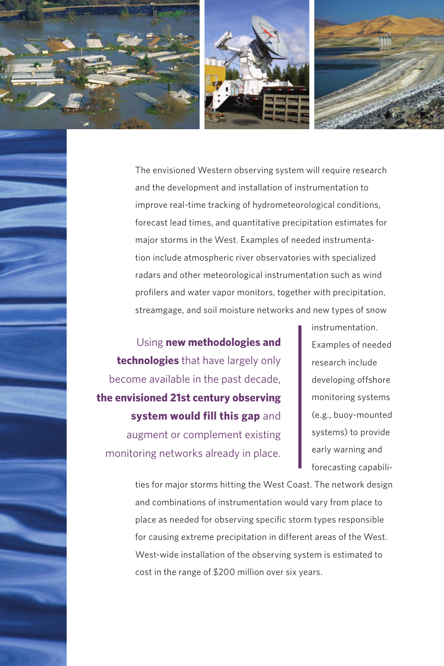





The envisioned Western observing system will require research and the development and installation of instrumentation to improve real-time tracking of hydrometeorological conditions, forecast lead times, and quantitative precipitation estimates for major storms in the West. Examples of needed instrumentation include atmospheric river observatories with specialized radars and other meteorological instrumentation such as wind profilers and water vapor monitors, together with precipitation, streamgage, and soil moisture networks and new types of snow

Using **new methodologies and technologies** that have largely only become available in the past decade, **the envisioned 21st century observing system would fill this gap** and augment or complement existing monitoring networks already in place.

instrumentation. Examples of needed research include developing offshore monitoring systems (e.g., buoy-mounted systems) to provide early warning and forecasting capabili-

ties for major storms hitting the West Coast. The network design and combinations of instrumentation would vary from place to place as needed for observing specific storm types responsible for causing extreme precipitation in different areas of the West. West-wide installation of the observing system is estimated to cost in the range of \$200 million over six years.